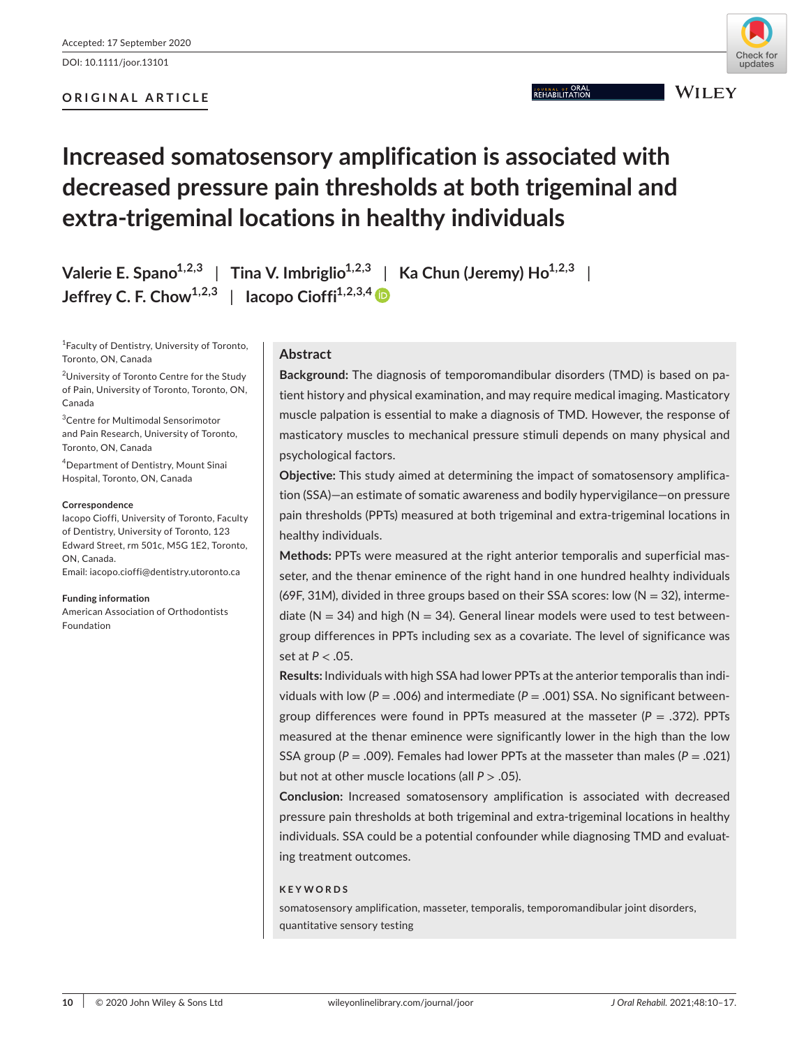DOI: 10.1111/joor.13101

# **ORIGINAL ARTICLE**



**JOURNAL OF ORAL**<br>REHABILITATION

**WILEY** 

# **Increased somatosensory amplification is associated with decreased pressure pain thresholds at both trigeminal and extra-trigeminal locations in healthy individuals**

**Valerie E.** Spano<sup>1,2,3</sup> | Tina V. Imbriglio<sup>1,2,3</sup> | Ka Chun (Jeremy)  $Ho^{1,2,3}$  $J$ effrey C. F. Chow<sup>1,2,3</sup> | Iacopo Cioffi<sup>1,2,3,[4](https://orcid.org/0000-0002-9708-6765)</sup>

1 Faculty of Dentistry, University of Toronto, Toronto, ON, Canada

<sup>2</sup>University of Toronto Centre for the Study of Pain, University of Toronto, Toronto, ON, Canada

3 Centre for Multimodal Sensorimotor and Pain Research, University of Toronto, Toronto, ON, Canada

4 Department of Dentistry, Mount Sinai Hospital, Toronto, ON, Canada

#### **Correspondence**

Iacopo Cioffi, University of Toronto, Faculty of Dentistry, University of Toronto, 123 Edward Street, rm 501c, M5G 1E2, Toronto, ON, Canada.

Email: [iacopo.cioffi@dentistry.utoronto.ca](mailto:iacopo.cioffi@dentistry.utoronto.ca)

#### **Funding information**

American Association of Orthodontists Foundation

# **Abstract**

**Background:** The diagnosis of temporomandibular disorders (TMD) is based on patient history and physical examination, and may require medical imaging. Masticatory muscle palpation is essential to make a diagnosis of TMD. However, the response of masticatory muscles to mechanical pressure stimuli depends on many physical and psychological factors.

**Objective:** This study aimed at determining the impact of somatosensory amplification (SSA)—an estimate of somatic awareness and bodily hypervigilance—on pressure pain thresholds (PPTs) measured at both trigeminal and extra-trigeminal locations in healthy individuals.

**Methods:** PPTs were measured at the right anterior temporalis and superficial masseter, and the thenar eminence of the right hand in one hundred healhty individuals (69F, 31M), divided in three groups based on their SSA scores: low ( $N = 32$ ), intermediate ( $N = 34$ ) and high ( $N = 34$ ). General linear models were used to test betweengroup differences in PPTs including sex as a covariate. The level of significance was set at *P* < .05.

**Results:** Individuals with high SSA had lower PPTs at the anterior temporalis than individuals with low ( $P = .006$ ) and intermediate ( $P = .001$ ) SSA. No significant betweengroup differences were found in PPTs measured at the masseter  $(P = .372)$ . PPTs measured at the thenar eminence were significantly lower in the high than the low SSA group ( $P = .009$ ). Females had lower PPTs at the masseter than males ( $P = .021$ ) but not at other muscle locations (all *P* > .05).

**Conclusion:** Increased somatosensory amplification is associated with decreased pressure pain thresholds at both trigeminal and extra-trigeminal locations in healthy individuals. SSA could be a potential confounder while diagnosing TMD and evaluating treatment outcomes.

## **KEYWORDS**

somatosensory amplification, masseter, temporalis, temporomandibular joint disorders, quantitative sensory testing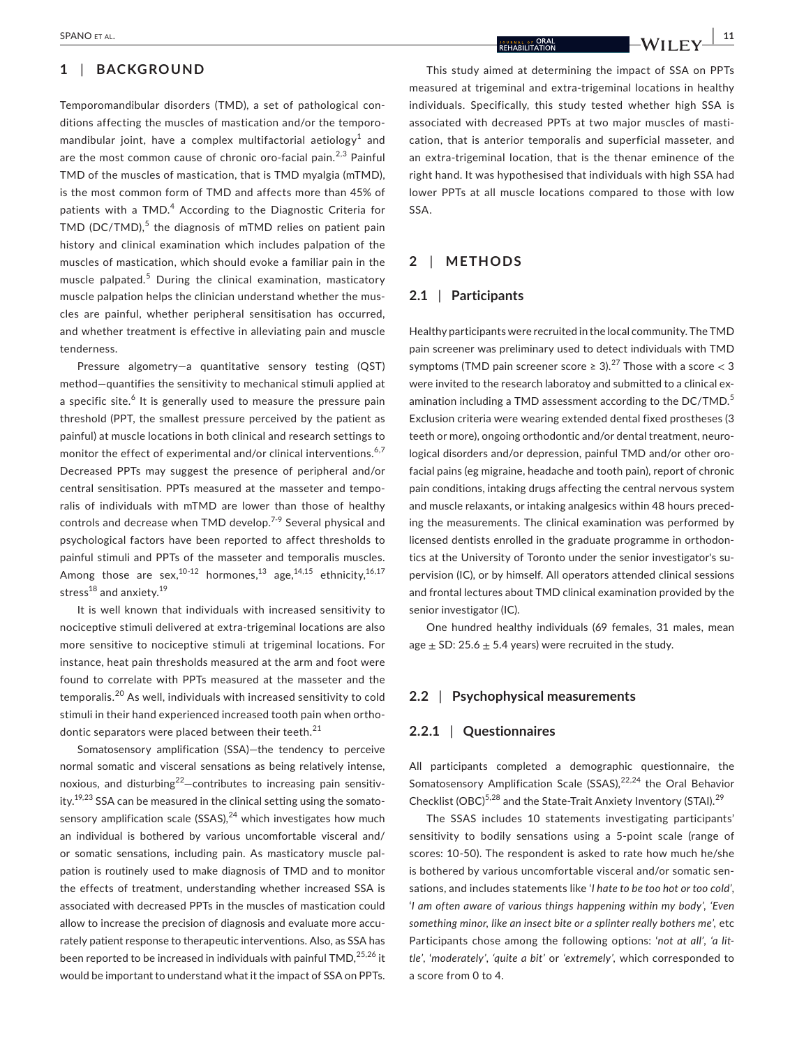## **1** | **BACKGROUND**

Temporomandibular disorders (TMD), a set of pathological conditions affecting the muscles of mastication and/or the temporomandibular joint, have a complex multifactorial aetiology $^{\rm 1}$  and are the most common cause of chronic oro-facial pain.<sup>2,3</sup> Painful TMD of the muscles of mastication, that is TMD myalgia (mTMD), is the most common form of TMD and affects more than 45% of patients with a TMD.<sup>4</sup> According to the Diagnostic Criteria for TMD (DC/TMD), $5$  the diagnosis of mTMD relies on patient pain history and clinical examination which includes palpation of the muscles of mastication, which should evoke a familiar pain in the muscle palpated.<sup>5</sup> During the clinical examination, masticatory muscle palpation helps the clinician understand whether the muscles are painful, whether peripheral sensitisation has occurred, and whether treatment is effective in alleviating pain and muscle tenderness.

Pressure algometry—a quantitative sensory testing (QST) method—quantifies the sensitivity to mechanical stimuli applied at a specific site.<sup>6</sup> It is generally used to measure the pressure pain threshold (PPT, the smallest pressure perceived by the patient as painful) at muscle locations in both clinical and research settings to monitor the effect of experimental and/or clinical interventions.<sup>6,7</sup> Decreased PPTs may suggest the presence of peripheral and/or central sensitisation. PPTs measured at the masseter and temporalis of individuals with mTMD are lower than those of healthy controls and decrease when TMD develop.<sup>7-9</sup> Several physical and psychological factors have been reported to affect thresholds to painful stimuli and PPTs of the masseter and temporalis muscles. Among those are sex,<sup>10-12</sup> hormones,<sup>13</sup> age,<sup>14,15</sup> ethnicity,<sup>16,17</sup> stress $^{18}$  and anxiety. $^{19}$ 

It is well known that individuals with increased sensitivity to nociceptive stimuli delivered at extra-trigeminal locations are also more sensitive to nociceptive stimuli at trigeminal locations. For instance, heat pain thresholds measured at the arm and foot were found to correlate with PPTs measured at the masseter and the temporalis.20 As well, individuals with increased sensitivity to cold stimuli in their hand experienced increased tooth pain when orthodontic separators were placed between their teeth.<sup>21</sup>

Somatosensory amplification (SSA)—the tendency to perceive normal somatic and visceral sensations as being relatively intense, noxious, and disturbing<sup>22</sup>-contributes to increasing pain sensitivity.<sup>19,23</sup> SSA can be measured in the clinical setting using the somatosensory amplification scale (SSAS), $^{24}$  which investigates how much an individual is bothered by various uncomfortable visceral and/ or somatic sensations, including pain. As masticatory muscle palpation is routinely used to make diagnosis of TMD and to monitor the effects of treatment, understanding whether increased SSA is associated with decreased PPTs in the muscles of mastication could allow to increase the precision of diagnosis and evaluate more accurately patient response to therapeutic interventions. Also, as SSA has been reported to be increased in individuals with painful TMD,<sup>25,26</sup> it would be important to understand what it the impact of SSA on PPTs.

This study aimed at determining the impact of SSA on PPTs measured at trigeminal and extra-trigeminal locations in healthy individuals. Specifically, this study tested whether high SSA is associated with decreased PPTs at two major muscles of mastication, that is anterior temporalis and superficial masseter, and an extra-trigeminal location, that is the thenar eminence of the right hand. It was hypothesised that individuals with high SSA had lower PPTs at all muscle locations compared to those with low SSA.

# **2** | **METHODS**

## **2.1** | **Participants**

Healthy participants were recruited in the local community. The TMD pain screener was preliminary used to detect individuals with TMD symptoms (TMD pain screener score  $\geq 3$ ).<sup>27</sup> Those with a score  $\lt 3$ were invited to the research laboratoy and submitted to a clinical examination including a TMD assessment according to the DC/TMD.<sup>5</sup> Exclusion criteria were wearing extended dental fixed prostheses (3 teeth or more), ongoing orthodontic and/or dental treatment, neurological disorders and/or depression, painful TMD and/or other orofacial pains (eg migraine, headache and tooth pain), report of chronic pain conditions, intaking drugs affecting the central nervous system and muscle relaxants, or intaking analgesics within 48 hours preceding the measurements. The clinical examination was performed by licensed dentists enrolled in the graduate programme in orthodontics at the University of Toronto under the senior investigator's supervision (IC), or by himself. All operators attended clinical sessions and frontal lectures about TMD clinical examination provided by the senior investigator (IC).

One hundred healthy individuals (69 females, 31 males, mean age  $\pm$  SD: 25.6  $\pm$  5.4 years) were recruited in the study.

#### **2.2** | **Psychophysical measurements**

### **2.2.1** | **Questionnaires**

All participants completed a demographic questionnaire, the Somatosensory Amplification Scale (SSAS), $22,24$  the Oral Behavior Checklist (OBC)<sup>5,28</sup> and the State-Trait Anxiety Inventory (STAI).<sup>29</sup>

The SSAS includes 10 statements investigating participants' sensitivity to bodily sensations using a 5-point scale (range of scores: 10-50). The respondent is asked to rate how much he/she is bothered by various uncomfortable visceral and/or somatic sensations, and includes statements like '*I hate to be too hot or too cold'*, '*I am often aware of various things happening within my body', 'Even something minor, like an insect bite or a splinter really bothers me',* etc Participants chose among the following options: '*not at all'*, *'a little'*, '*moderately'*, *'quite a bit'* or *'extremely',* which corresponded to a score from 0 to 4.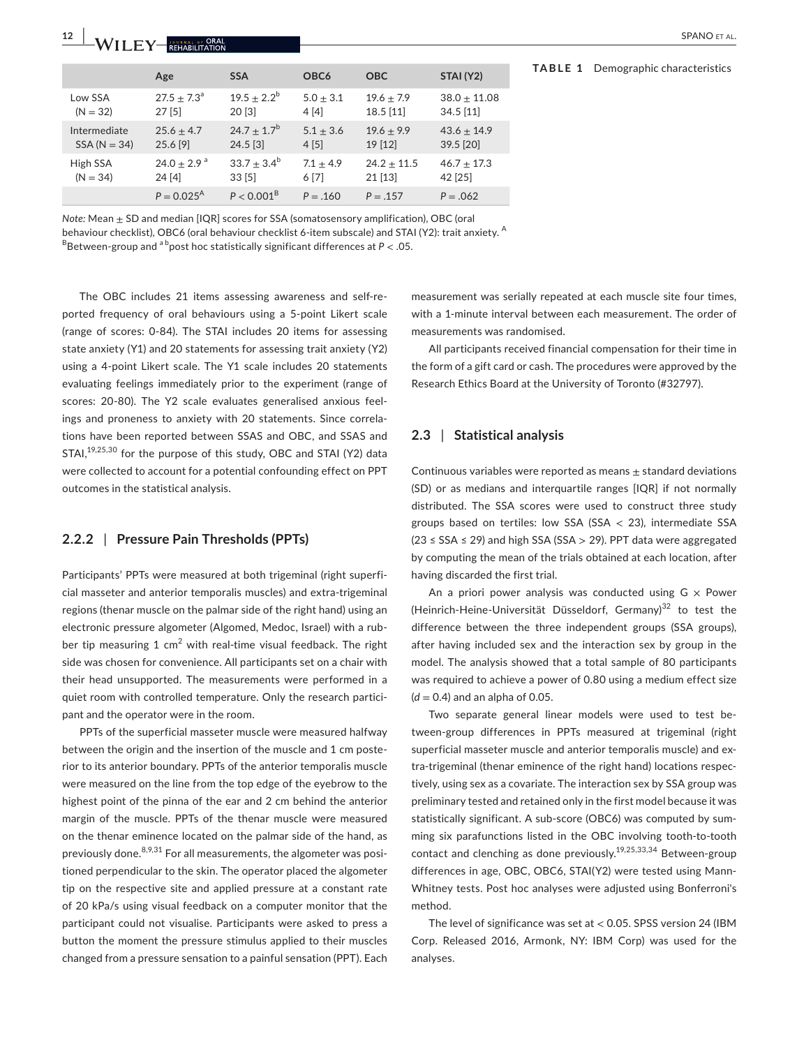|                | Age                       | <b>SSA</b>          | OBC <sub>6</sub> | <b>OBC</b>    | STAI (Y2)      |
|----------------|---------------------------|---------------------|------------------|---------------|----------------|
| Low SSA        | $27.5 + 7.3a$             | $19.5 + 2.2^b$      | $5.0 + 3.1$      | $19.6 + 7.9$  | $38.0 + 11.08$ |
| $(N = 32)$     | 27[5]                     | 20[3]               | 4[4]             | $18.5$ [11]   | 34.5 [11]      |
| Intermediate   | $25.6 + 4.7$              | $24.7 + 1.7^b$      | $5.1 + 3.6$      | $19.6 + 9.9$  | $43.6 + 14.9$  |
| $SSA (N = 34)$ | 25.6 [9]                  | $24.5$ [3]          | 4[5]             | 19 [12]       | 39.5 [20]      |
| High SSA       | $24.0 + 2.9$ <sup>a</sup> | $33.7 + 3.4^b$      | $7.1 + 4.9$      | $24.2 + 11.5$ | $46.7 + 17.3$  |
| $(N = 34)$     | 24 [4]                    | 33[5]               | 6 [7]            | $21$ [13]     | 42 [25]        |
|                | $P = 0.025^{\text{A}}$    | $P < 0.001^{\rm B}$ | $P = .160$       | $P = .157$    | $P = .062$     |

*Note:* Mean  $\pm$  SD and median [IQR] scores for SSA (somatosensory amplification), OBC (oral

behaviour checklist), OBC6 (oral behaviour checklist 6-item subscale) and STAI (Y2): trait anxiety. <sup>A</sup>  $B$ Between-group and  $a^b$ post hoc statistically significant differences at  $P < .05$ .

The OBC includes 21 items assessing awareness and self-reported frequency of oral behaviours using a 5-point Likert scale (range of scores: 0-84). The STAI includes 20 items for assessing state anxiety (Y1) and 20 statements for assessing trait anxiety (Y2) using a 4-point Likert scale. The Y1 scale includes 20 statements evaluating feelings immediately prior to the experiment (range of scores: 20-80). The Y2 scale evaluates generalised anxious feelings and proneness to anxiety with 20 statements. Since correlations have been reported between SSAS and OBC, and SSAS and STAI,<sup>19,25,30</sup> for the purpose of this study, OBC and STAI (Y2) data were collected to account for a potential confounding effect on PPT outcomes in the statistical analysis.

## **2.2.2** | **Pressure Pain Thresholds (PPTs)**

Participants' PPTs were measured at both trigeminal (right superficial masseter and anterior temporalis muscles) and extra-trigeminal regions (thenar muscle on the palmar side of the right hand) using an electronic pressure algometer (Algomed, Medoc, Israel) with a rubber tip measuring 1 cm<sup>2</sup> with real-time visual feedback. The right side was chosen for convenience. All participants set on a chair with their head unsupported. The measurements were performed in a quiet room with controlled temperature. Only the research participant and the operator were in the room.

PPTs of the superficial masseter muscle were measured halfway between the origin and the insertion of the muscle and 1 cm posterior to its anterior boundary. PPTs of the anterior temporalis muscle were measured on the line from the top edge of the eyebrow to the highest point of the pinna of the ear and 2 cm behind the anterior margin of the muscle. PPTs of the thenar muscle were measured on the thenar eminence located on the palmar side of the hand, as previously done.  $8,9,31$  For all measurements, the algometer was positioned perpendicular to the skin. The operator placed the algometer tip on the respective site and applied pressure at a constant rate of 20 kPa/s using visual feedback on a computer monitor that the participant could not visualise. Participants were asked to press a button the moment the pressure stimulus applied to their muscles changed from a pressure sensation to a painful sensation (PPT). Each

measurement was serially repeated at each muscle site four times, with a 1-minute interval between each measurement. The order of measurements was randomised.

All participants received financial compensation for their time in the form of a gift card or cash. The procedures were approved by the Research Ethics Board at the University of Toronto (#32797).

## **2.3** | **Statistical analysis**

Continuous variables were reported as means  $\pm$  standard deviations (SD) or as medians and interquartile ranges [IQR] if not normally distributed. The SSA scores were used to construct three study groups based on tertiles: low SSA (SSA  $<$  23), intermediate SSA  $(23 \leq SSA \leq 29)$  and high SSA (SSA > 29). PPT data were aggregated by computing the mean of the trials obtained at each location, after having discarded the first trial.

An a priori power analysis was conducted using  $G \times Power$ (Heinrich-Heine-Universität Düsseldorf, Germany) $32$  to test the difference between the three independent groups (SSA groups), after having included sex and the interaction sex by group in the model. The analysis showed that a total sample of 80 participants was required to achieve a power of 0.80 using a medium effect size (*d* = 0.4) and an alpha of 0.05.

Two separate general linear models were used to test between-group differences in PPTs measured at trigeminal (right superficial masseter muscle and anterior temporalis muscle) and extra-trigeminal (thenar eminence of the right hand) locations respectively, using sex as a covariate. The interaction sex by SSA group was preliminary tested and retained only in the first model because it was statistically significant. A sub-score (OBC6) was computed by summing six parafunctions listed in the OBC involving tooth-to-tooth contact and clenching as done previously.19,25,33,34 Between-group differences in age, OBC, OBC6, STAI(Y2) were tested using Mann-Whitney tests. Post hoc analyses were adjusted using Bonferroni's method.

The level of significance was set at < 0.05. SPSS version 24 (IBM Corp. Released 2016, Armonk, NY: IBM Corp) was used for the analyses.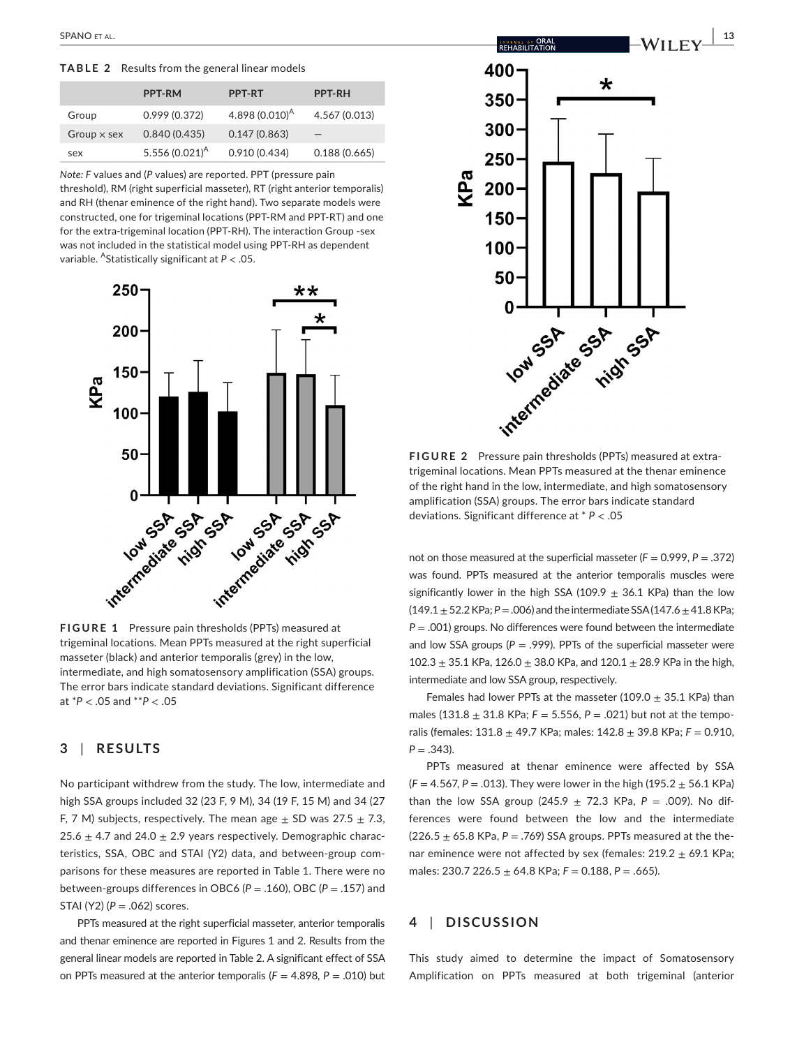**TABLE 2** Results from the general linear models

|                    | <b>PPT-RM</b>     | <b>PPT-RT</b>     | <b>PPT-RH</b>     |
|--------------------|-------------------|-------------------|-------------------|
| Group              | 0.999(0.372)      | 4.898 $(0.010)^A$ | 4.567 (0.013)     |
| Group $\times$ sex | 0.840(0.435)      | 0.147(0.863)      | $\qquad \qquad -$ |
| sex                | 5.556 $(0.021)^A$ | 0.910(0.434)      | 0.188(0.665)      |

*Note: F* values and (*P* values) are reported. PPT (pressure pain threshold), RM (right superficial masseter), RT (right anterior temporalis) and RH (thenar eminence of the right hand). Two separate models were constructed, one for trigeminal locations (PPT-RM and PPT-RT) and one for the extra-trigeminal location (PPT-RH). The interaction Group -sex was not included in the statistical model using PPT-RH as dependent variable. AStatistically significant at *P* < .05.



**FIGURE 1** Pressure pain thresholds (PPTs) measured at trigeminal locations. Mean PPTs measured at the right superficial masseter (black) and anterior temporalis (grey) in the low, intermediate, and high somatosensory amplification (SSA) groups. The error bars indicate standard deviations. Significant difference at \**P* < .05 and \*\**P* < .05

# **3** | **RESULTS**

No participant withdrew from the study. The low, intermediate and high SSA groups included 32 (23 F, 9 M), 34 (19 F, 15 M) and 34 (27 F, 7 M) subjects, respectively. The mean age  $\pm$  SD was 27.5  $\pm$  7.3, 25.6  $\pm$  4.7 and 24.0  $\pm$  2.9 years respectively. Demographic characteristics, SSA, OBC and STAI (Y2) data, and between-group comparisons for these measures are reported in Table 1. There were no between-groups differences in OBC6 (*P* = .160), OBC (*P* = .157) and STAI (Y2) (*P* = .062) scores.

PPTs measured at the right superficial masseter, anterior temporalis and thenar eminence are reported in Figures 1 and 2. Results from the general linear models are reported in Table 2. A significant effect of SSA on PPTs measured at the anterior temporalis ( $F = 4.898$ ,  $P = .010$ ) but

 **|** SPANO et al. **13**



**FIGURE 2** Pressure pain thresholds (PPTs) measured at extratrigeminal locations. Mean PPTs measured at the thenar eminence of the right hand in the low, intermediate, and high somatosensory amplification (SSA) groups. The error bars indicate standard deviations. Significant difference at \* *P* < .05

not on those measured at the superficial masseter (*F* = 0.999, *P* = .372) was found. PPTs measured at the anterior temporalis muscles were significantly lower in the high SSA (109.9  $\pm$  36.1 KPa) than the low (149.1 ± 52.2 KPa; *P* = .006) and the intermediate SSA (147.6 ± 41.8 KPa; *P* = .001) groups. No differences were found between the intermediate and low SSA groups ( $P = .999$ ). PPTs of the superficial masseter were  $102.3 \pm 35.1$  KPa,  $126.0 \pm 38.0$  KPa, and  $120.1 \pm 28.9$  KPa in the high, intermediate and low SSA group, respectively.

Females had lower PPTs at the masseter (109.0  $\pm$  35.1 KPa) than males (131.8  $\pm$  31.8 KPa;  $F = 5.556$ ,  $P = .021$ ) but not at the temporalis (females: 131.8 ± 49.7 KPa; males: 142.8 ± 39.8 KPa; *F* = 0.910,  $P = .343$ ).

PPTs measured at thenar eminence were affected by SSA (*F* = 4.567, *P* = .013). They were lower in the high (195.2 ± 56.1 KPa) than the low SSA group (245.9  $\pm$  72.3 KPa, P = .009). No differences were found between the low and the intermediate  $(226.5 \pm 65.8 \text{ KPa}, P = .769)$  SSA groups. PPTs measured at the thenar eminence were not affected by sex (females:  $219.2 \pm 69.1$  KPa; males: 230.7 226.5 ± 64.8 KPa; *F* = 0.188, *P* = .665).

# **4** | **DISCUSSION**

This study aimed to determine the impact of Somatosensory Amplification on PPTs measured at both trigeminal (anterior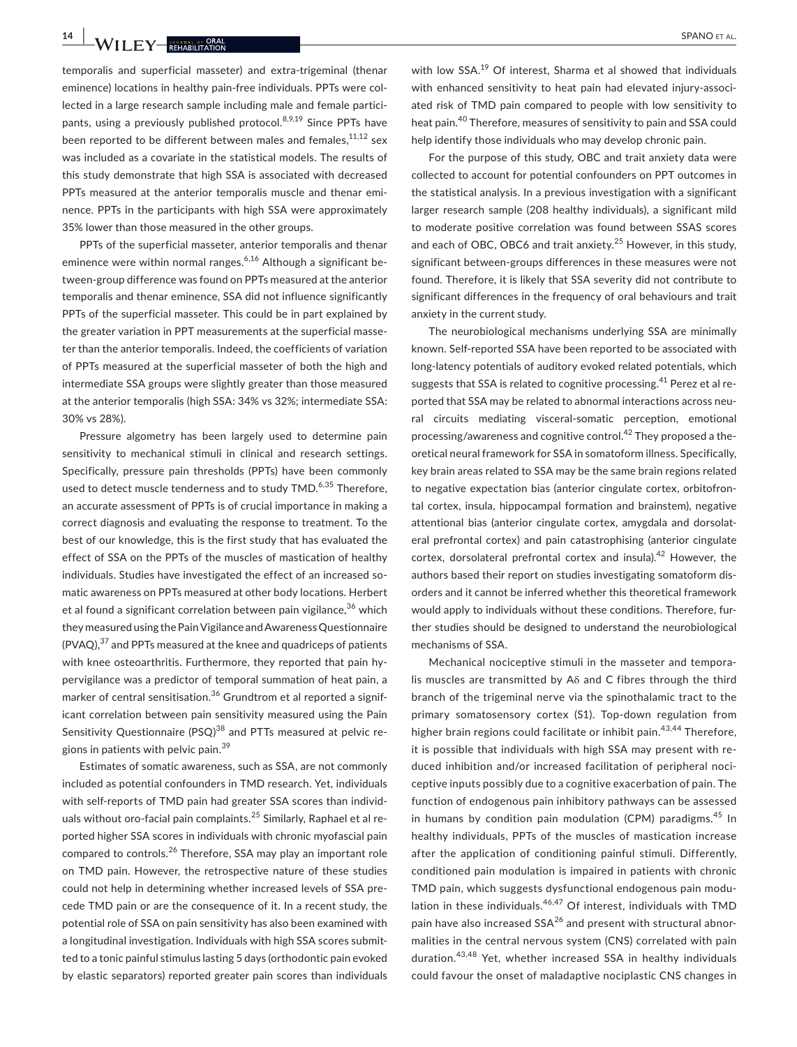**14 WII FY REHABILITATION** 

temporalis and superficial masseter) and extra-trigeminal (thenar eminence) locations in healthy pain-free individuals. PPTs were collected in a large research sample including male and female participants, using a previously published protocol.  $8,9,19$  Since PPTs have been reported to be different between males and females, $11,12$  sex was included as a covariate in the statistical models. The results of this study demonstrate that high SSA is associated with decreased PPTs measured at the anterior temporalis muscle and thenar eminence. PPTs in the participants with high SSA were approximately 35% lower than those measured in the other groups.

PPTs of the superficial masseter, anterior temporalis and thenar eminence were within normal ranges.<sup>6,16</sup> Although a significant between-group difference was found on PPTs measured at the anterior temporalis and thenar eminence, SSA did not influence significantly PPTs of the superficial masseter. This could be in part explained by the greater variation in PPT measurements at the superficial masseter than the anterior temporalis. Indeed, the coefficients of variation of PPTs measured at the superficial masseter of both the high and intermediate SSA groups were slightly greater than those measured at the anterior temporalis (high SSA: 34% vs 32%; intermediate SSA: 30% vs 28%).

Pressure algometry has been largely used to determine pain sensitivity to mechanical stimuli in clinical and research settings. Specifically, pressure pain thresholds (PPTs) have been commonly used to detect muscle tenderness and to study TMD.<sup>6,35</sup> Therefore, an accurate assessment of PPTs is of crucial importance in making a correct diagnosis and evaluating the response to treatment. To the best of our knowledge, this is the first study that has evaluated the effect of SSA on the PPTs of the muscles of mastication of healthy individuals. Studies have investigated the effect of an increased somatic awareness on PPTs measured at other body locations. Herbert et al found a significant correlation between pain vigilance,  $36$  which they measured using the Pain Vigilance and Awareness Questionnaire  $(PVAQ)$ ,  $37$  and PPTs measured at the knee and quadriceps of patients with knee osteoarthritis. Furthermore, they reported that pain hypervigilance was a predictor of temporal summation of heat pain, a marker of central sensitisation.<sup>36</sup> Grundtrom et al reported a significant correlation between pain sensitivity measured using the Pain Sensitivity Questionnaire (PSQ)<sup>38</sup> and PTTs measured at pelvic regions in patients with pelvic pain.<sup>39</sup>

Estimates of somatic awareness, such as SSA, are not commonly included as potential confounders in TMD research. Yet, individuals with self-reports of TMD pain had greater SSA scores than individuals without oro-facial pain complaints.<sup>25</sup> Similarly, Raphael et al reported higher SSA scores in individuals with chronic myofascial pain compared to controls.<sup>26</sup> Therefore, SSA may play an important role on TMD pain. However, the retrospective nature of these studies could not help in determining whether increased levels of SSA precede TMD pain or are the consequence of it. In a recent study, the potential role of SSA on pain sensitivity has also been examined with a longitudinal investigation. Individuals with high SSA scores submitted to a tonic painful stimulus lasting 5 days (orthodontic pain evoked by elastic separators) reported greater pain scores than individuals

with low SSA.<sup>19</sup> Of interest. Sharma et al showed that individuals with enhanced sensitivity to heat pain had elevated injury-associated risk of TMD pain compared to people with low sensitivity to heat pain.40 Therefore, measures of sensitivity to pain and SSA could help identify those individuals who may develop chronic pain.

For the purpose of this study, OBC and trait anxiety data were collected to account for potential confounders on PPT outcomes in the statistical analysis. In a previous investigation with a significant larger research sample (208 healthy individuals), a significant mild to moderate positive correlation was found between SSAS scores and each of OBC, OBC6 and trait anxiety.<sup>25</sup> However, in this study, significant between-groups differences in these measures were not found. Therefore, it is likely that SSA severity did not contribute to significant differences in the frequency of oral behaviours and trait anxiety in the current study.

The neurobiological mechanisms underlying SSA are minimally known. Self-reported SSA have been reported to be associated with long-latency potentials of auditory evoked related potentials, which suggests that SSA is related to cognitive processing.<sup>41</sup> Perez et al reported that SSA may be related to abnormal interactions across neural circuits mediating visceral-somatic perception, emotional processing/awareness and cognitive control.<sup>42</sup> They proposed a theoretical neural framework for SSA in somatoform illness. Specifically, key brain areas related to SSA may be the same brain regions related to negative expectation bias (anterior cingulate cortex, orbitofrontal cortex, insula, hippocampal formation and brainstem), negative attentional bias (anterior cingulate cortex, amygdala and dorsolateral prefrontal cortex) and pain catastrophising (anterior cingulate cortex, dorsolateral prefrontal cortex and insula).<sup>42</sup> However, the authors based their report on studies investigating somatoform disorders and it cannot be inferred whether this theoretical framework would apply to individuals without these conditions. Therefore, further studies should be designed to understand the neurobiological mechanisms of SSA.

Mechanical nociceptive stimuli in the masseter and temporalis muscles are transmitted by Aδ and C fibres through the third branch of the trigeminal nerve via the spinothalamic tract to the primary somatosensory cortex (S1). Top-down regulation from higher brain regions could facilitate or inhibit pain.<sup>43,44</sup> Therefore, it is possible that individuals with high SSA may present with reduced inhibition and/or increased facilitation of peripheral nociceptive inputs possibly due to a cognitive exacerbation of pain. The function of endogenous pain inhibitory pathways can be assessed in humans by condition pain modulation (CPM) paradigms.<sup>45</sup> In healthy individuals, PPTs of the muscles of mastication increase after the application of conditioning painful stimuli. Differently, conditioned pain modulation is impaired in patients with chronic TMD pain, which suggests dysfunctional endogenous pain modulation in these individuals.<sup>46,47</sup> Of interest, individuals with TMD pain have also increased  $SSA^{26}$  and present with structural abnormalities in the central nervous system (CNS) correlated with pain duration.43,48 Yet, whether increased SSA in healthy individuals could favour the onset of maladaptive nociplastic CNS changes in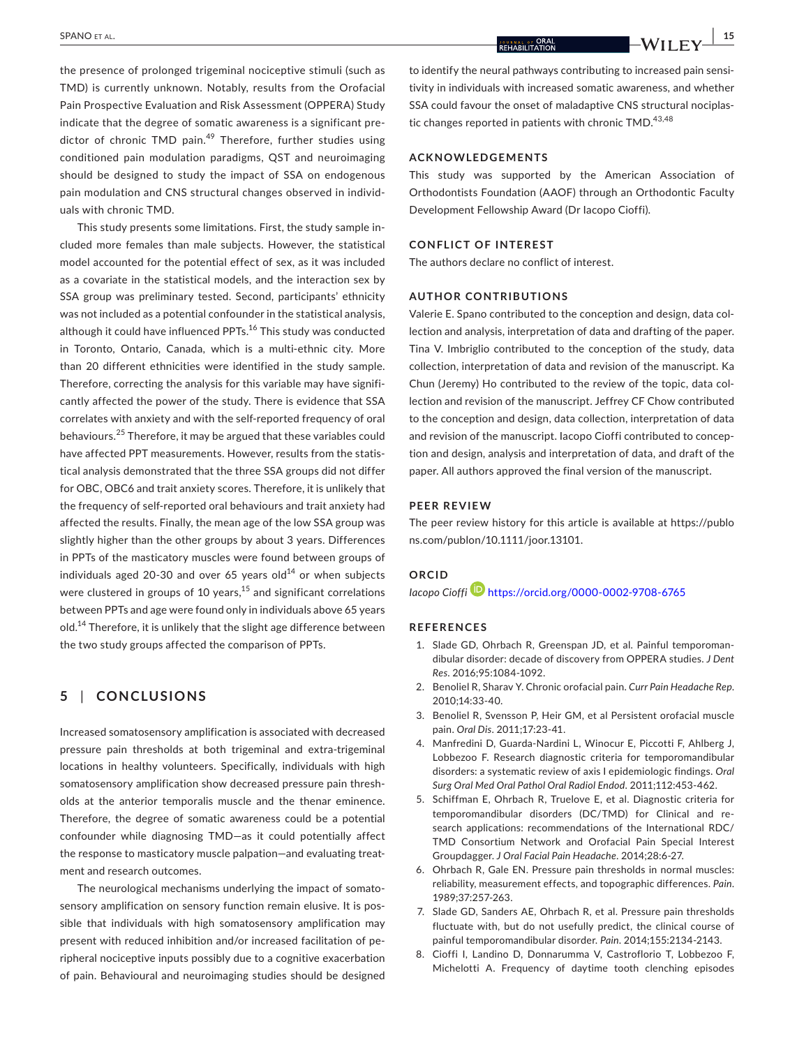the presence of prolonged trigeminal nociceptive stimuli (such as TMD) is currently unknown. Notably, results from the Orofacial Pain Prospective Evaluation and Risk Assessment (OPPERA) Study indicate that the degree of somatic awareness is a significant predictor of chronic TMD pain.<sup>49</sup> Therefore, further studies using conditioned pain modulation paradigms, QST and neuroimaging should be designed to study the impact of SSA on endogenous pain modulation and CNS structural changes observed in individuals with chronic TMD.

This study presents some limitations. First, the study sample included more females than male subjects. However, the statistical model accounted for the potential effect of sex, as it was included as a covariate in the statistical models, and the interaction sex by SSA group was preliminary tested. Second, participants' ethnicity was not included as a potential confounder in the statistical analysis, although it could have influenced PPTs.<sup>16</sup> This study was conducted in Toronto, Ontario, Canada, which is a multi-ethnic city. More than 20 different ethnicities were identified in the study sample. Therefore, correcting the analysis for this variable may have significantly affected the power of the study. There is evidence that SSA correlates with anxiety and with the self-reported frequency of oral behaviours.25 Therefore, it may be argued that these variables could have affected PPT measurements. However, results from the statistical analysis demonstrated that the three SSA groups did not differ for OBC, OBC6 and trait anxiety scores. Therefore, it is unlikely that the frequency of self-reported oral behaviours and trait anxiety had affected the results. Finally, the mean age of the low SSA group was slightly higher than the other groups by about 3 years. Differences in PPTs of the masticatory muscles were found between groups of individuals aged 20-30 and over 65 years old $^{14}$  or when subjects were clustered in groups of 10 years, $15$  and significant correlations between PPTs and age were found only in individuals above 65 years old.<sup>14</sup> Therefore, it is unlikely that the slight age difference between the two study groups affected the comparison of PPTs.

## **5** | **CONCLUSIONS**

Increased somatosensory amplification is associated with decreased pressure pain thresholds at both trigeminal and extra-trigeminal locations in healthy volunteers. Specifically, individuals with high somatosensory amplification show decreased pressure pain thresholds at the anterior temporalis muscle and the thenar eminence. Therefore, the degree of somatic awareness could be a potential confounder while diagnosing TMD—as it could potentially affect the response to masticatory muscle palpation—and evaluating treatment and research outcomes.

The neurological mechanisms underlying the impact of somatosensory amplification on sensory function remain elusive. It is possible that individuals with high somatosensory amplification may present with reduced inhibition and/or increased facilitation of peripheral nociceptive inputs possibly due to a cognitive exacerbation of pain. Behavioural and neuroimaging studies should be designed

to identify the neural pathways contributing to increased pain sensitivity in individuals with increased somatic awareness, and whether SSA could favour the onset of maladaptive CNS structural nociplastic changes reported in patients with chronic  $TMD<sup>43,48</sup>$ 

#### **ACKNOWLEDGEMENTS**

This study was supported by the American Association of Orthodontists Foundation (AAOF) through an Orthodontic Faculty Development Fellowship Award (Dr Iacopo Cioffi).

### **CONFLICT OF INTEREST**

The authors declare no conflict of interest.

### **AUTHOR CONTRIBUTIONS**

Valerie E. Spano contributed to the conception and design, data collection and analysis, interpretation of data and drafting of the paper. Tina V. Imbriglio contributed to the conception of the study, data collection, interpretation of data and revision of the manuscript. Ka Chun (Jeremy) Ho contributed to the review of the topic, data collection and revision of the manuscript. Jeffrey CF Chow contributed to the conception and design, data collection, interpretation of data and revision of the manuscript. Iacopo Cioffi contributed to conception and design, analysis and interpretation of data, and draft of the paper. All authors approved the final version of the manuscript.

#### **PEER REVIEW**

The peer review history for this article is available at [https://publo](https://publons.com/publon/10.1111/joor.13101) [ns.com/publon/10.1111/joor.13101.](https://publons.com/publon/10.1111/joor.13101)

# **ORCID**

*Iacopo Cioffi* <https://orcid.org/0000-0002-9708-6765>

#### **REFERENCES**

- 1. Slade GD, Ohrbach R, Greenspan JD, et al. Painful temporomandibular disorder: decade of discovery from OPPERA studies. *J Dent Res*. 2016;95:1084-1092.
- 2. Benoliel R, Sharav Y. Chronic orofacial pain. *Curr Pain Headache Rep*. 2010;14:33-40.
- 3. Benoliel R, Svensson P, Heir GM, et al Persistent orofacial muscle pain. *Oral Dis*. 2011;17:23-41.
- 4. Manfredini D, Guarda-Nardini L, Winocur E, Piccotti F, Ahlberg J, Lobbezoo F. Research diagnostic criteria for temporomandibular disorders: a systematic review of axis I epidemiologic findings. *Oral Surg Oral Med Oral Pathol Oral Radiol Endod*. 2011;112:453-462.
- 5. Schiffman E, Ohrbach R, Truelove E, et al. Diagnostic criteria for temporomandibular disorders (DC/TMD) for Clinical and research applications: recommendations of the International RDC/ TMD Consortium Network and Orofacial Pain Special Interest Groupdagger. *J Oral Facial Pain Headache*. 2014;28:6-27.
- 6. Ohrbach R, Gale EN. Pressure pain thresholds in normal muscles: reliability, measurement effects, and topographic differences. *Pain*. 1989;37:257-263.
- 7. Slade GD, Sanders AE, Ohrbach R, et al. Pressure pain thresholds fluctuate with, but do not usefully predict, the clinical course of painful temporomandibular disorder. *Pain*. 2014;155:2134-2143.
- 8. Cioffi I, Landino D, Donnarumma V, Castroflorio T, Lobbezoo F, Michelotti A. Frequency of daytime tooth clenching episodes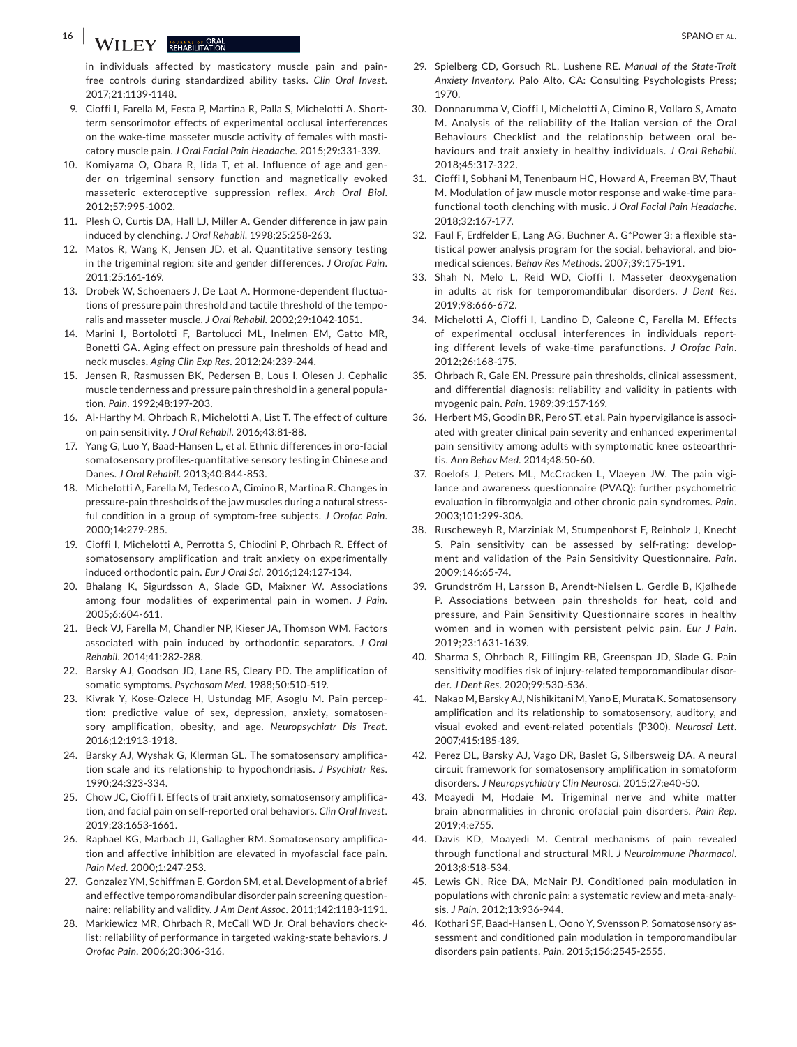**16 |**  SPANO et al.

in individuals affected by masticatory muscle pain and painfree controls during standardized ability tasks. *Clin Oral Invest*. 2017;21:1139-1148.

- 9. Cioffi I, Farella M, Festa P, Martina R, Palla S, Michelotti A. Shortterm sensorimotor effects of experimental occlusal interferences on the wake-time masseter muscle activity of females with masticatory muscle pain. *J Oral Facial Pain Headache*. 2015;29:331-339.
- 10. Komiyama O, Obara R, Iida T, et al. Influence of age and gender on trigeminal sensory function and magnetically evoked masseteric exteroceptive suppression reflex. *Arch Oral Biol*. 2012;57:995-1002.
- 11. Plesh O, Curtis DA, Hall LJ, Miller A. Gender difference in jaw pain induced by clenching. *J Oral Rehabil*. 1998;25:258-263.
- 12. Matos R, Wang K, Jensen JD, et al. Quantitative sensory testing in the trigeminal region: site and gender differences. *J Orofac Pain*. 2011;25:161-169.
- 13. Drobek W, Schoenaers J, De Laat A. Hormone-dependent fluctuations of pressure pain threshold and tactile threshold of the temporalis and masseter muscle. *J Oral Rehabil*. 2002;29:1042-1051.
- 14. Marini I, Bortolotti F, Bartolucci ML, Inelmen EM, Gatto MR, Bonetti GA. Aging effect on pressure pain thresholds of head and neck muscles. *Aging Clin Exp Res*. 2012;24:239-244.
- 15. Jensen R, Rasmussen BK, Pedersen B, Lous I, Olesen J. Cephalic muscle tenderness and pressure pain threshold in a general population. *Pain*. 1992;48:197-203.
- 16. Al-Harthy M, Ohrbach R, Michelotti A, List T. The effect of culture on pain sensitivity. *J Oral Rehabil*. 2016;43:81-88.
- 17. Yang G, Luo Y, Baad-Hansen L, et al. Ethnic differences in oro-facial somatosensory profiles-quantitative sensory testing in Chinese and Danes. *J Oral Rehabil*. 2013;40:844-853.
- 18. Michelotti A, Farella M, Tedesco A, Cimino R, Martina R. Changes in pressure-pain thresholds of the jaw muscles during a natural stressful condition in a group of symptom-free subjects. *J Orofac Pain*. 2000;14:279-285.
- 19. Cioffi I, Michelotti A, Perrotta S, Chiodini P, Ohrbach R. Effect of somatosensory amplification and trait anxiety on experimentally induced orthodontic pain. *Eur J Oral Sci*. 2016;124:127-134.
- 20. Bhalang K, Sigurdsson A, Slade GD, Maixner W. Associations among four modalities of experimental pain in women. *J Pain*. 2005;6:604-611.
- 21. Beck VJ, Farella M, Chandler NP, Kieser JA, Thomson WM. Factors associated with pain induced by orthodontic separators. *J Oral Rehabil*. 2014;41:282-288.
- 22. Barsky AJ, Goodson JD, Lane RS, Cleary PD. The amplification of somatic symptoms. *Psychosom Med*. 1988;50:510-519.
- 23. Kivrak Y, Kose-Ozlece H, Ustundag MF, Asoglu M. Pain perception: predictive value of sex, depression, anxiety, somatosensory amplification, obesity, and age. *Neuropsychiatr Dis Treat*. 2016;12:1913-1918.
- 24. Barsky AJ, Wyshak G, Klerman GL. The somatosensory amplification scale and its relationship to hypochondriasis. *J Psychiatr Res*. 1990;24:323-334.
- 25. Chow JC, Cioffi I. Effects of trait anxiety, somatosensory amplification, and facial pain on self-reported oral behaviors. *Clin Oral Invest*. 2019;23:1653-1661.
- 26. Raphael KG, Marbach JJ, Gallagher RM. Somatosensory amplification and affective inhibition are elevated in myofascial face pain. *Pain Med*. 2000;1:247-253.
- 27. Gonzalez YM, Schiffman E, Gordon SM, et al. Development of a brief and effective temporomandibular disorder pain screening questionnaire: reliability and validity. *J Am Dent Assoc*. 2011;142:1183-1191.
- 28. Markiewicz MR, Ohrbach R, McCall WD Jr. Oral behaviors checklist: reliability of performance in targeted waking-state behaviors. *J Orofac Pain*. 2006;20:306-316.
- 29. Spielberg CD, Gorsuch RL, Lushene RE. *Manual of the State-Trait Anxiety Inventory*. Palo Alto, CA: Consulting Psychologists Press; 1970.
- 30. Donnarumma V, Cioffi I, Michelotti A, Cimino R, Vollaro S, Amato M. Analysis of the reliability of the Italian version of the Oral Behaviours Checklist and the relationship between oral behaviours and trait anxiety in healthy individuals. *J Oral Rehabil*. 2018;45:317-322.
- 31. Cioffi I, Sobhani M, Tenenbaum HC, Howard A, Freeman BV, Thaut M. Modulation of jaw muscle motor response and wake-time parafunctional tooth clenching with music. *J Oral Facial Pain Headache*. 2018;32:167-177.
- 32. Faul F, Erdfelder E, Lang AG, Buchner A. G\*Power 3: a flexible statistical power analysis program for the social, behavioral, and biomedical sciences. *Behav Res Methods*. 2007;39:175-191.
- 33. Shah N, Melo L, Reid WD, Cioffi I. Masseter deoxygenation in adults at risk for temporomandibular disorders. *J Dent Res*. 2019;98:666-672.
- 34. Michelotti A, Cioffi I, Landino D, Galeone C, Farella M. Effects of experimental occlusal interferences in individuals reporting different levels of wake-time parafunctions. *J Orofac Pain*. 2012;26:168-175.
- 35. Ohrbach R, Gale EN. Pressure pain thresholds, clinical assessment, and differential diagnosis: reliability and validity in patients with myogenic pain. *Pain*. 1989;39:157-169.
- 36. Herbert MS, Goodin BR, Pero ST, et al. Pain hypervigilance is associated with greater clinical pain severity and enhanced experimental pain sensitivity among adults with symptomatic knee osteoarthritis. *Ann Behav Med*. 2014;48:50-60.
- 37. Roelofs J, Peters ML, McCracken L, Vlaeyen JW. The pain vigilance and awareness questionnaire (PVAQ): further psychometric evaluation in fibromyalgia and other chronic pain syndromes. *Pain*. 2003;101:299-306.
- 38. Ruscheweyh R, Marziniak M, Stumpenhorst F, Reinholz J, Knecht S. Pain sensitivity can be assessed by self-rating: development and validation of the Pain Sensitivity Questionnaire. *Pain*. 2009;146:65-74.
- 39. Grundström H, Larsson B, Arendt-Nielsen L, Gerdle B, Kjølhede P. Associations between pain thresholds for heat, cold and pressure, and Pain Sensitivity Questionnaire scores in healthy women and in women with persistent pelvic pain. *Eur J Pain*. 2019;23:1631-1639.
- 40. Sharma S, Ohrbach R, Fillingim RB, Greenspan JD, Slade G. Pain sensitivity modifies risk of injury-related temporomandibular disorder. *J Dent Res*. 2020;99:530-536.
- 41. Nakao M, Barsky AJ, Nishikitani M, Yano E, Murata K. Somatosensory amplification and its relationship to somatosensory, auditory, and visual evoked and event-related potentials (P300). *Neurosci Lett*. 2007;415:185-189.
- 42. Perez DL, Barsky AJ, Vago DR, Baslet G, Silbersweig DA. A neural circuit framework for somatosensory amplification in somatoform disorders. *J Neuropsychiatry Clin Neurosci*. 2015;27:e40-50.
- 43. Moayedi M, Hodaie M. Trigeminal nerve and white matter brain abnormalities in chronic orofacial pain disorders. *Pain Rep*. 2019;4:e755.
- 44. Davis KD, Moayedi M. Central mechanisms of pain revealed through functional and structural MRI. *J Neuroimmune Pharmacol*. 2013;8:518-534.
- 45. Lewis GN, Rice DA, McNair PJ. Conditioned pain modulation in populations with chronic pain: a systematic review and meta-analysis. *J Pain*. 2012;13:936-944.
- 46. Kothari SF, Baad-Hansen L, Oono Y, Svensson P. Somatosensory assessment and conditioned pain modulation in temporomandibular disorders pain patients. *Pain*. 2015;156:2545-2555.